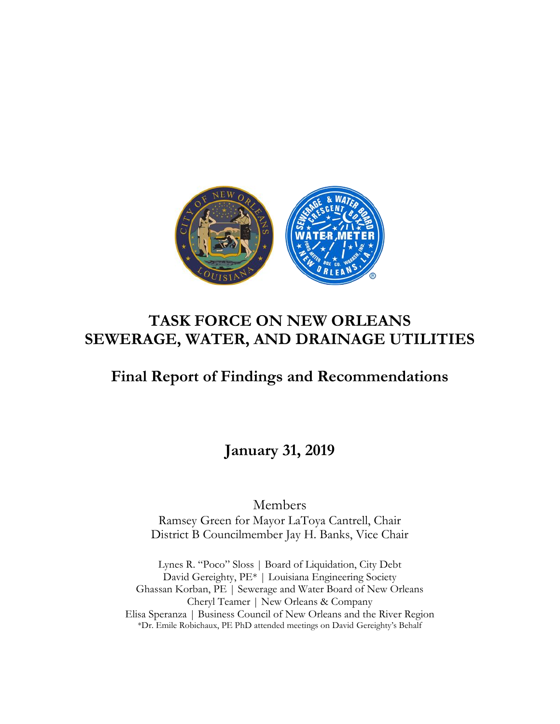

# **TASK FORCE ON NEW ORLEANS SEWERAGE, WATER, AND DRAINAGE UTILITIES**

# **Final Report of Findings and Recommendations**

**January 31, 2019**

Members

Ramsey Green for Mayor LaToya Cantrell, Chair District B Councilmember Jay H. Banks, Vice Chair

Lynes R. "Poco" Sloss | Board of Liquidation, City Debt David Gereighty, PE\* | Louisiana Engineering Society Ghassan Korban, PE | Sewerage and Water Board of New Orleans Cheryl Teamer | New Orleans & Company Elisa Speranza | Business Council of New Orleans and the River Region \*Dr. Emile Robichaux, PE PhD attended meetings on David Gereighty's Behalf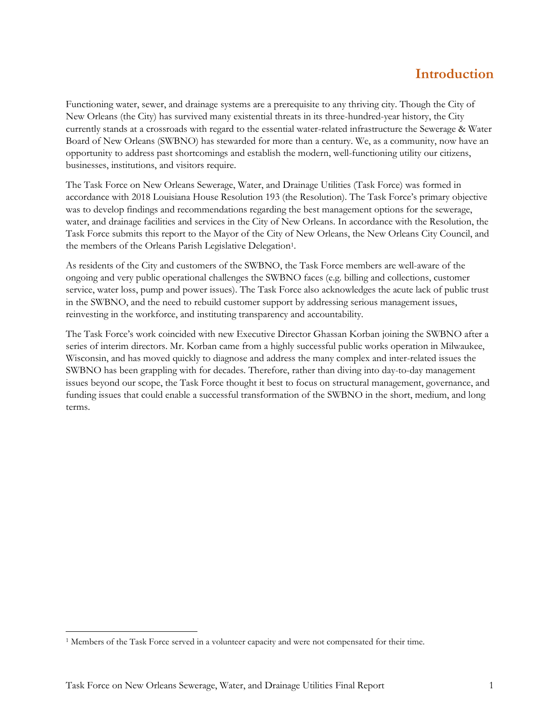### **Introduction**

Functioning water, sewer, and drainage systems are a prerequisite to any thriving city. Though the City of New Orleans (the City) has survived many existential threats in its three-hundred-year history, the City currently stands at a crossroads with regard to the essential water-related infrastructure the Sewerage & Water Board of New Orleans (SWBNO) has stewarded for more than a century. We, as a community, now have an opportunity to address past shortcomings and establish the modern, well-functioning utility our citizens, businesses, institutions, and visitors require.

The Task Force on New Orleans Sewerage, Water, and Drainage Utilities (Task Force) was formed in accordance with 2018 Louisiana House Resolution 193 (the Resolution). The Task Force's primary objective was to develop findings and recommendations regarding the best management options for the sewerage, water, and drainage facilities and services in the City of New Orleans. In accordance with the Resolution, the Task Force submits this report to the Mayor of the City of New Orleans, the New Orleans City Council, and the members of the Orleans Parish Legislative Delegation<sup>1</sup>.

As residents of the City and customers of the SWBNO, the Task Force members are well-aware of the ongoing and very public operational challenges the SWBNO faces (e.g. billing and collections, customer service, water loss, pump and power issues). The Task Force also acknowledges the acute lack of public trust in the SWBNO, and the need to rebuild customer support by addressing serious management issues, reinvesting in the workforce, and instituting transparency and accountability.

The Task Force's work coincided with new Executive Director Ghassan Korban joining the SWBNO after a series of interim directors. Mr. Korban came from a highly successful public works operation in Milwaukee, Wisconsin, and has moved quickly to diagnose and address the many complex and inter-related issues the SWBNO has been grappling with for decades. Therefore, rather than diving into day-to-day management issues beyond our scope, the Task Force thought it best to focus on structural management, governance, and funding issues that could enable a successful transformation of the SWBNO in the short, medium, and long terms.

 $\overline{a}$ 

<sup>1</sup> Members of the Task Force served in a volunteer capacity and were not compensated for their time.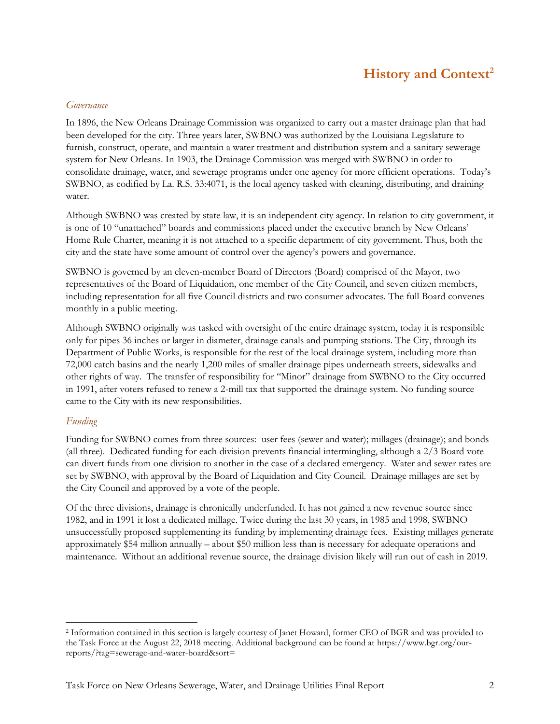## **History and Context<sup>2</sup>**

#### *Governance*

In 1896, the New Orleans Drainage Commission was organized to carry out a master drainage plan that had been developed for the city. Three years later, SWBNO was authorized by the Louisiana Legislature to furnish, construct, operate, and maintain a water treatment and distribution system and a sanitary sewerage system for New Orleans. In 1903, the Drainage Commission was merged with SWBNO in order to consolidate drainage, water, and sewerage programs under one agency for more efficient operations. Today's SWBNO, as codified by La. R.S. 33:4071, is the local agency tasked with cleaning, distributing, and draining water.

Although SWBNO was created by state law, it is an independent city agency. In relation to city government, it is one of 10 "unattached" boards and commissions placed under the executive branch by New Orleans' Home Rule Charter, meaning it is not attached to a specific department of city government. Thus, both the city and the state have some amount of control over the agency's powers and governance.

SWBNO is governed by an eleven-member Board of Directors (Board) comprised of the Mayor, two representatives of the Board of Liquidation, one member of the City Council, and seven citizen members, including representation for all five Council districts and two consumer advocates. The full Board convenes monthly in a public meeting.

Although SWBNO originally was tasked with oversight of the entire drainage system, today it is responsible only for pipes 36 inches or larger in diameter, drainage canals and pumping stations. The City, through its Department of Public Works, is responsible for the rest of the local drainage system, including more than 72,000 catch basins and the nearly 1,200 miles of smaller drainage pipes underneath streets, sidewalks and other rights of way. The transfer of responsibility for "Minor" drainage from SWBNO to the City occurred in 1991, after voters refused to renew a 2-mill tax that supported the drainage system. No funding source came to the City with its new responsibilities.

#### *Funding*

 $\overline{a}$ 

Funding for SWBNO comes from three sources: user fees (sewer and water); millages (drainage); and bonds (all three). Dedicated funding for each division prevents financial intermingling, although a 2/3 Board vote can divert funds from one division to another in the case of a declared emergency. Water and sewer rates are set by SWBNO, with approval by the Board of Liquidation and City Council. Drainage millages are set by the City Council and approved by a vote of the people.

Of the three divisions, drainage is chronically underfunded. It has not gained a new revenue source since 1982, and in 1991 it lost a dedicated millage. Twice during the last 30 years, in 1985 and 1998, SWBNO unsuccessfully proposed supplementing its funding by implementing drainage fees. Existing millages generate approximately \$54 million annually – about \$50 million less than is necessary for adequate operations and maintenance. Without an additional revenue source, the drainage division likely will run out of cash in 2019.

<sup>2</sup> Information contained in this section is largely courtesy of Janet Howard, former CEO of BGR and was provided to the Task Force at the August 22, 2018 meeting. Additional background can be found at https://www.bgr.org/ourreports/?tag=sewerage-and-water-board&sort=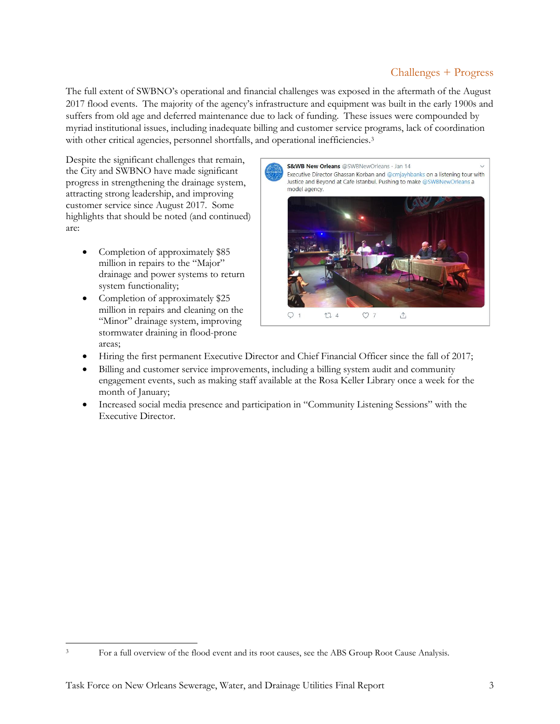### Challenges + Progress

The full extent of SWBNO's operational and financial challenges was exposed in the aftermath of the August 2017 flood events. The majority of the agency's infrastructure and equipment was built in the early 1900s and suffers from old age and deferred maintenance due to lack of funding. These issues were compounded by myriad institutional issues, including inadequate billing and customer service programs, lack of coordination with other critical agencies, personnel shortfalls, and operational inefficiencies.<sup>3</sup>

Despite the significant challenges that remain, the City and SWBNO have made significant progress in strengthening the drainage system, attracting strong leadership, and improving customer service since August 2017. Some highlights that should be noted (and continued) are:

- Completion of approximately \$85 million in repairs to the "Major" drainage and power systems to return system functionality;
- Completion of approximately \$25 million in repairs and cleaning on the "Minor" drainage system, improving stormwater draining in flood-prone areas;

 $\overline{a}$ 



- Hiring the first permanent Executive Director and Chief Financial Officer since the fall of 2017;
- Billing and customer service improvements, including a billing system audit and community engagement events, such as making staff available at the Rosa Keller Library once a week for the month of January;
- Increased social media presence and participation in "Community Listening Sessions" with the Executive Director.

<sup>3</sup> For a full overview of the flood event and its root causes, see the ABS Group Root Cause Analysis.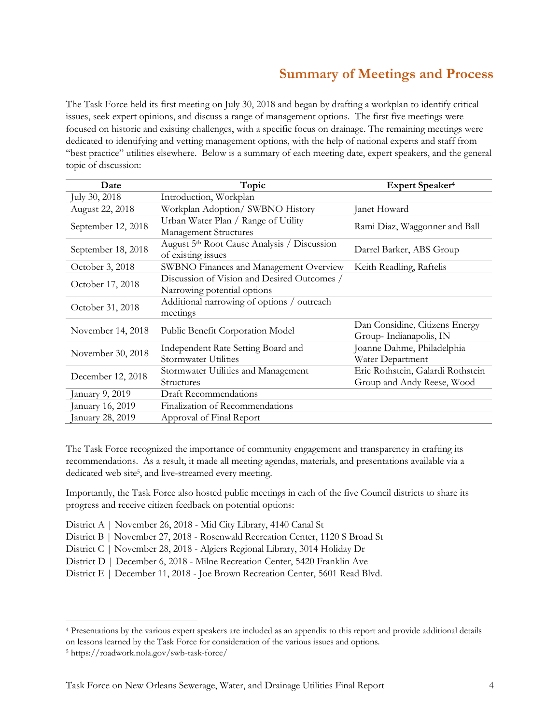## **Summary of Meetings and Process**

The Task Force held its first meeting on July 30, 2018 and began by drafting a workplan to identify critical issues, seek expert opinions, and discuss a range of management options. The first five meetings were focused on historic and existing challenges, with a specific focus on drainage. The remaining meetings were dedicated to identifying and vetting management options, with the help of national experts and staff from "best practice" utilities elsewhere. Below is a summary of each meeting date, expert speakers, and the general topic of discussion:

| Date               | Topic                                                   | Expert Speaker <sup>4</sup>       |  |  |  |  |
|--------------------|---------------------------------------------------------|-----------------------------------|--|--|--|--|
| July 30, 2018      | Introduction, Workplan                                  |                                   |  |  |  |  |
| August 22, 2018    | Workplan Adoption/ SWBNO History                        | Janet Howard                      |  |  |  |  |
| September 12, 2018 | Urban Water Plan / Range of Utility                     | Rami Diaz, Waggonner and Ball     |  |  |  |  |
|                    | Management Structures                                   |                                   |  |  |  |  |
| September 18, 2018 | August 5 <sup>th</sup> Root Cause Analysis / Discussion | Darrel Barker, ABS Group          |  |  |  |  |
|                    | of existing issues                                      |                                   |  |  |  |  |
| October 3, 2018    | SWBNO Finances and Management Overview                  | Keith Readling, Raftelis          |  |  |  |  |
| October 17, 2018   | Discussion of Vision and Desired Outcomes /             |                                   |  |  |  |  |
|                    | Narrowing potential options                             |                                   |  |  |  |  |
| October 31, 2018   | Additional narrowing of options / outreach              |                                   |  |  |  |  |
|                    | meetings                                                |                                   |  |  |  |  |
| November 14, 2018  | Public Benefit Corporation Model                        | Dan Considine, Citizens Energy    |  |  |  |  |
|                    |                                                         | Group-Indianapolis, IN            |  |  |  |  |
| November 30, 2018  | Independent Rate Setting Board and                      | Joanne Dahme, Philadelphia        |  |  |  |  |
|                    | Stormwater Utilities                                    | Water Department                  |  |  |  |  |
| December 12, 2018  | Stormwater Utilities and Management                     | Eric Rothstein, Galardi Rothstein |  |  |  |  |
|                    | <b>Structures</b>                                       | Group and Andy Reese, Wood        |  |  |  |  |
| January 9, 2019    | <b>Draft Recommendations</b>                            |                                   |  |  |  |  |
| January 16, 2019   | Finalization of Recommendations                         |                                   |  |  |  |  |
| January 28, 2019   | Approval of Final Report                                |                                   |  |  |  |  |

The Task Force recognized the importance of community engagement and transparency in crafting its recommendations. As a result, it made all meeting agendas, materials, and presentations available via a dedicated web site<sup>5</sup>, and live-streamed every meeting.

Importantly, the Task Force also hosted public meetings in each of the five Council districts to share its progress and receive citizen feedback on potential options:

- District A | November 26, 2018 Mid City Library, 4140 Canal St
- District B | November 27, 2018 Rosenwald Recreation Center, 1120 S Broad St
- District C | November 28, 2018 Algiers Regional Library, 3014 Holiday Dr
- District D | December 6, 2018 Milne Recreation Center, 5420 Franklin Ave
- District E | December 11, 2018 Joe Brown Recreation Center, 5601 Read Blvd.

 $\overline{a}$ 

<sup>4</sup> Presentations by the various expert speakers are included as an appendix to this report and provide additional details on lessons learned by the Task Force for consideration of the various issues and options.

<sup>5</sup> https://roadwork.nola.gov/swb-task-force/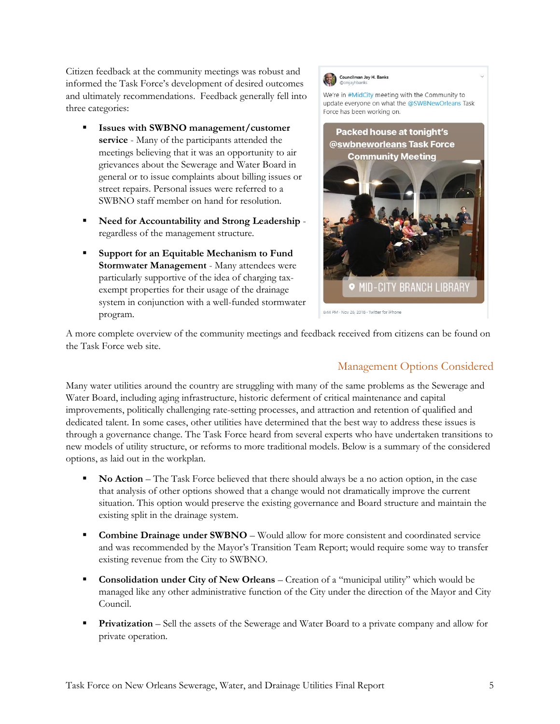Citizen feedback at the community meetings was robust and informed the Task Force's development of desired outcomes and ultimately recommendations. Feedback generally fell into three categories:

- **Issues with SWBNO management/customer service** - Many of the participants attended the meetings believing that it was an opportunity to air grievances about the Sewerage and Water Board in general or to issue complaints about billing issues or street repairs. Personal issues were referred to a SWBNO staff member on hand for resolution.
- **Need for Accountability and Strong Leadership**  regardless of the management structure.
- **Support for an Equitable Mechanism to Fund Stormwater Management** - Many attendees were particularly supportive of the idea of charging taxexempt properties for their usage of the drainage system in conjunction with a well-funded stormwater program.



We're in #MidCity meeting with the Community to update everyone on what the @SWBNewOrleans Task Force has been working on.



6:44 PM · Nov 26, 2018 · Twitter for iPhone

A more complete overview of the community meetings and feedback received from citizens can be found on the Task Force web site.

### Management Options Considered

Many water utilities around the country are struggling with many of the same problems as the Sewerage and Water Board, including aging infrastructure, historic deferment of critical maintenance and capital improvements, politically challenging rate-setting processes, and attraction and retention of qualified and dedicated talent. In some cases, other utilities have determined that the best way to address these issues is through a governance change. The Task Force heard from several experts who have undertaken transitions to new models of utility structure, or reforms to more traditional models. Below is a summary of the considered options, as laid out in the workplan.

- **No Action**  The Task Force believed that there should always be a no action option, in the case that analysis of other options showed that a change would not dramatically improve the current situation. This option would preserve the existing governance and Board structure and maintain the existing split in the drainage system.
- **Combine Drainage under SWBNO** Would allow for more consistent and coordinated service and was recommended by the Mayor's Transition Team Report; would require some way to transfer existing revenue from the City to SWBNO.
- **Consolidation under City of New Orleans**  Creation of a "municipal utility" which would be managed like any other administrative function of the City under the direction of the Mayor and City Council.
- **Privatization**  Sell the assets of the Sewerage and Water Board to a private company and allow for private operation.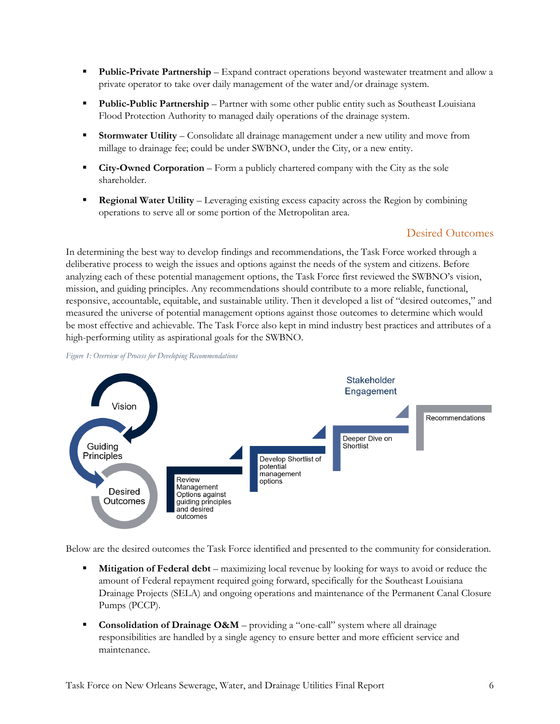- **Public-Private Partnership** Expand contract operations beyond wastewater treatment and allow a private operator to take over daily management of the water and/or drainage system.
- **Public-Public Partnership** Partner with some other public entity such as Southeast Louisiana Flood Protection Authority to managed daily operations of the drainage system.
- **Stormwater Utility** Consolidate all drainage management under a new utility and move from millage to drainage fee; could be under SWBNO, under the City, or a new entity.
- **City-Owned Corporation** Form a publicly chartered company with the City as the sole shareholder.
- **Regional Water Utility** Leveraging existing excess capacity across the Region by combining operations to serve all or some portion of the Metropolitan area.

### Desired Outcomes

In determining the best way to develop findings and recommendations, the Task Force worked through a deliberative process to weigh the issues and options against the needs of the system and citizens. Before analyzing each of these potential management options, the Task Force first reviewed the SWBNO's vision, mission, and guiding principles. Any recommendations should contribute to a more reliable, functional, responsive, accountable, equitable, and sustainable utility. Then it developed a list of "desired outcomes," and measured the universe of potential management options against those outcomes to determine which would be most effective and achievable. The Task Force also kept in mind industry best practices and attributes of a high-performing utility as aspirational goals for the SWBNO.



*Figure 1: Overview of Process for Developing Recommendations*

Below are the desired outcomes the Task Force identified and presented to the community for consideration.

- **Mitigation of Federal debt** maximizing local revenue by looking for ways to avoid or reduce the amount of Federal repayment required going forward, specifically for the Southeast Louisiana Drainage Projects (SELA) and ongoing operations and maintenance of the Permanent Canal Closure Pumps (PCCP).
- **Consolidation of Drainage O&M** providing a "one-call" system where all drainage responsibilities are handled by a single agency to ensure better and more efficient service and maintenance.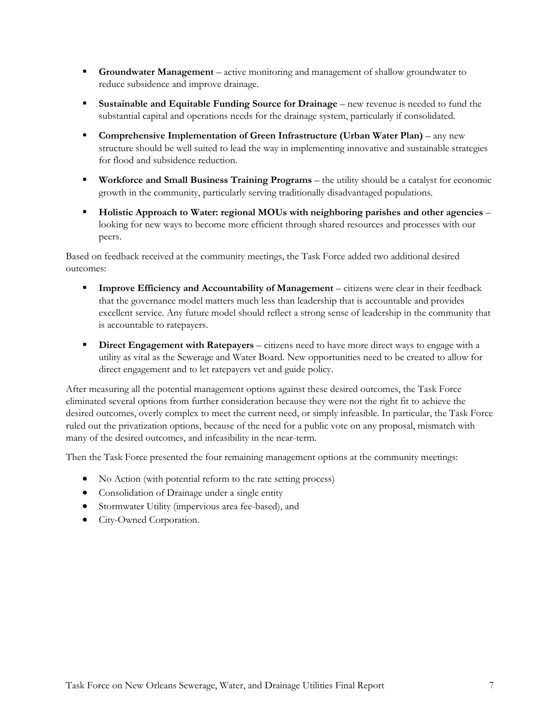- **Groundwater Management** active monitoring and management of shallow groundwater to reduce subsidence and improve drainage.
- **Sustainable and Equitable Funding Source for Drainage** new revenue is needed to fund the substantial capital and operations needs for the drainage system, particularly if consolidated.
- **Comprehensive Implementation of Green Infrastructure (Urban Water Plan)** any new structure should be well suited to lead the way in implementing innovative and sustainable strategies for flood and subsidence reduction.
- **Workforce and Small Business Training Programs** the utility should be a catalyst for economic growth in the community, particularly serving traditionally disadvantaged populations.
- **Holistic Approach to Water: regional MOUs with neighboring parishes and other agencies** looking for new ways to become more efficient through shared resources and processes with our peers.

Based on feedback received at the community meetings, the Task Force added two additional desired outcomes:

- **Improve Efficiency and Accountability of Management** citizens were clear in their feedback that the governance model matters much less than leadership that is accountable and provides excellent service. Any future model should reflect a strong sense of leadership in the community that is accountable to ratepayers.
- **Direct Engagement with Ratepayers** citizens need to have more direct ways to engage with a utility as vital as the Sewerage and Water Board. New opportunities need to be created to allow for direct engagement and to let ratepayers vet and guide policy.

After measuring all the potential management options against these desired outcomes, the Task Force eliminated several options from further consideration because they were not the right fit to achieve the desired outcomes, overly complex to meet the current need, or simply infeasible. In particular, the Task Force ruled out the privatization options, because of the need for a public vote on any proposal, mismatch with many of the desired outcomes, and infeasibility in the near-term.

Then the Task Force presented the four remaining management options at the community meetings:

- No Action (with potential reform to the rate setting process)
- Consolidation of Drainage under a single entity
- Stormwater Utility (impervious area fee-based), and
- City-Owned Corporation.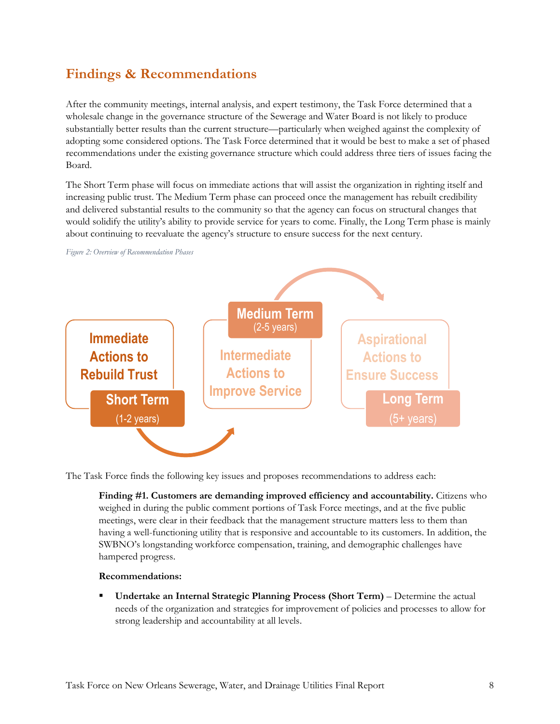## **Findings & Recommendations**

After the community meetings, internal analysis, and expert testimony, the Task Force determined that a wholesale change in the governance structure of the Sewerage and Water Board is not likely to produce substantially better results than the current structure—particularly when weighed against the complexity of adopting some considered options. The Task Force determined that it would be best to make a set of phased recommendations under the existing governance structure which could address three tiers of issues facing the Board.

The Short Term phase will focus on immediate actions that will assist the organization in righting itself and increasing public trust. The Medium Term phase can proceed once the management has rebuilt credibility and delivered substantial results to the community so that the agency can focus on structural changes that would solidify the utility's ability to provide service for years to come. Finally, the Long Term phase is mainly about continuing to reevaluate the agency's structure to ensure success for the next century.



The Task Force finds the following key issues and proposes recommendations to address each:

**Finding #1. Customers are demanding improved efficiency and accountability.** Citizens who weighed in during the public comment portions of Task Force meetings, and at the five public meetings, were clear in their feedback that the management structure matters less to them than having a well-functioning utility that is responsive and accountable to its customers. In addition, the SWBNO's longstanding workforce compensation, training, and demographic challenges have hampered progress.

#### **Recommendations:**

 **Undertake an Internal Strategic Planning Process (Short Term)** – Determine the actual needs of the organization and strategies for improvement of policies and processes to allow for strong leadership and accountability at all levels.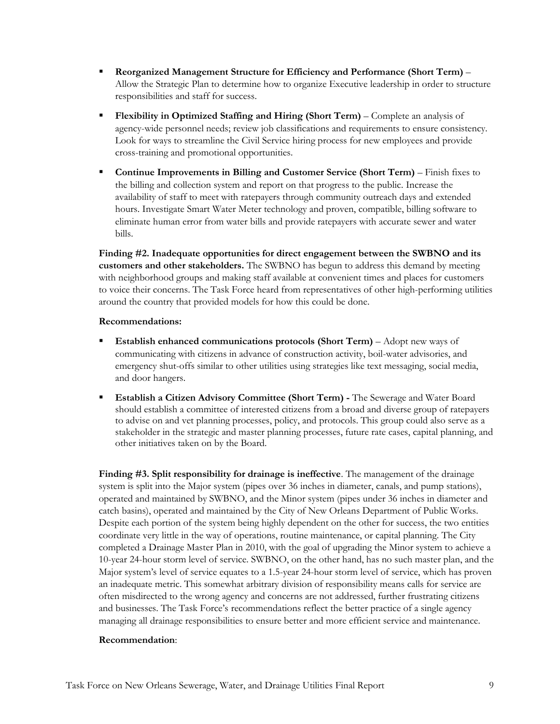- **Reorganized Management Structure for Efficiency and Performance (Short Term)**  Allow the Strategic Plan to determine how to organize Executive leadership in order to structure responsibilities and staff for success.
- **Flexibility in Optimized Staffing and Hiring (Short Term)**  Complete an analysis of agency-wide personnel needs; review job classifications and requirements to ensure consistency. Look for ways to streamline the Civil Service hiring process for new employees and provide cross-training and promotional opportunities.
- **Continue Improvements in Billing and Customer Service (Short Term)** Finish fixes to the billing and collection system and report on that progress to the public. Increase the availability of staff to meet with ratepayers through community outreach days and extended hours. Investigate Smart Water Meter technology and proven, compatible, billing software to eliminate human error from water bills and provide ratepayers with accurate sewer and water bills.

**Finding #2. Inadequate opportunities for direct engagement between the SWBNO and its customers and other stakeholders.** The SWBNO has begun to address this demand by meeting with neighborhood groups and making staff available at convenient times and places for customers to voice their concerns. The Task Force heard from representatives of other high-performing utilities around the country that provided models for how this could be done.

#### **Recommendations:**

- **Establish enhanced communications protocols (Short Term)** Adopt new ways of communicating with citizens in advance of construction activity, boil-water advisories, and emergency shut-offs similar to other utilities using strategies like text messaging, social media, and door hangers.
- **Establish a Citizen Advisory Committee (Short Term) -** The Sewerage and Water Board should establish a committee of interested citizens from a broad and diverse group of ratepayers to advise on and vet planning processes, policy, and protocols. This group could also serve as a stakeholder in the strategic and master planning processes, future rate cases, capital planning, and other initiatives taken on by the Board.

**Finding #3. Split responsibility for drainage is ineffective**. The management of the drainage system is split into the Major system (pipes over 36 inches in diameter, canals, and pump stations), operated and maintained by SWBNO, and the Minor system (pipes under 36 inches in diameter and catch basins), operated and maintained by the City of New Orleans Department of Public Works. Despite each portion of the system being highly dependent on the other for success, the two entities coordinate very little in the way of operations, routine maintenance, or capital planning. The City completed a Drainage Master Plan in 2010, with the goal of upgrading the Minor system to achieve a 10-year 24-hour storm level of service. SWBNO, on the other hand, has no such master plan, and the Major system's level of service equates to a 1.5-year 24-hour storm level of service, which has proven an inadequate metric. This somewhat arbitrary division of responsibility means calls for service are often misdirected to the wrong agency and concerns are not addressed, further frustrating citizens and businesses. The Task Force's recommendations reflect the better practice of a single agency managing all drainage responsibilities to ensure better and more efficient service and maintenance.

#### **Recommendation**: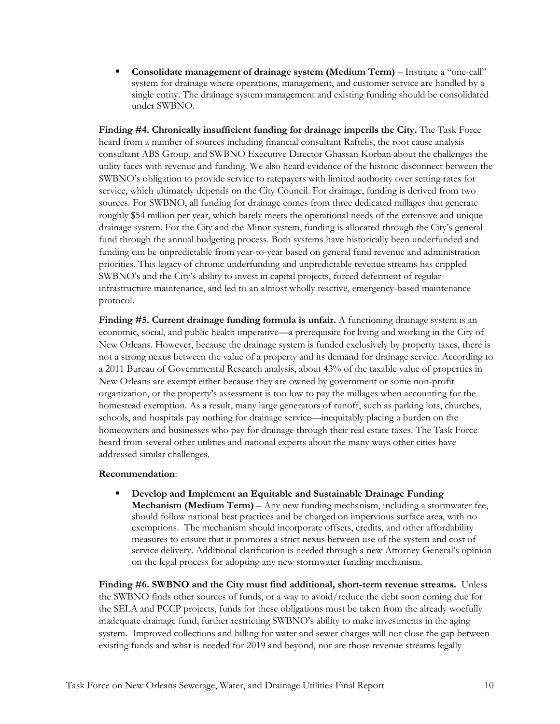**Consolidate management of drainage system (Medium Term)** – Institute a "one-call" system for drainage where operations, management, and customer service are handled by a single entity. The drainage system management and existing funding should be consolidated under SWBNO.

**Finding #4. Chronically insufficient funding for drainage imperils the City.** The Task Force heard from a number of sources including financial consultant Raftelis, the root cause analysis consultant ABS Group, and SWBNO Executive Director Ghassan Korban about the challenges the utility faces with revenue and funding. We also heard evidence of the historic disconnect between the SWBNO's obligation to provide service to ratepayers with limited authority over setting rates for service, which ultimately depends on the City Council. For drainage, funding is derived from two sources. For SWBNO, all funding for drainage comes from three dedicated millages that generate roughly \$54 million per year, which barely meets the operational needs of the extensive and unique drainage system. For the City and the Minor system, funding is allocated through the City's general fund through the annual budgeting process. Both systems have historically been underfunded and funding can be unpredictable from year-to-year based on general fund revenue and administration priorities. This legacy of chronic underfunding and unpredictable revenue streams has crippled SWBNO's and the City's ability to invest in capital projects, forced deferment of regular infrastructure maintenance, and led to an almost wholly reactive, emergency-based maintenance protocol.

**Finding #5. Current drainage funding formula is unfair.** A functioning drainage system is an economic, social, and public health imperative—a prerequisite for living and working in the City of New Orleans. However, because the drainage system is funded exclusively by property taxes, there is not a strong nexus between the value of a property and its demand for drainage service. According to a 2011 Bureau of Governmental Research analysis, about 43% of the taxable value of properties in New Orleans are exempt either because they are owned by government or some non-profit organization, or the property's assessment is too low to pay the millages when accounting for the homestead exemption. As a result, many large generators of runoff, such as parking lots, churches, schools, and hospitals pay nothing for drainage service—inequitably placing a burden on the homeowners and businesses who pay for drainage through their real estate taxes. The Task Force heard from several other utilities and national experts about the many ways other cities have addressed similar challenges.

#### **Recommendation**:

 **Develop and Implement an Equitable and Sustainable Drainage Funding Mechanism (Medium Term)** – Any new funding mechanism, including a stormwater fee, should follow national best practices and be charged on impervious surface area, with no exemptions. The mechanism should incorporate offsets, credits, and other affordability measures to ensure that it promotes a strict nexus between use of the system and cost of service delivery. Additional clarification is needed through a new Attorney General's opinion on the legal process for adopting any new stormwater funding mechanism.

**Finding #6. SWBNO and the City must find additional, short-term revenue streams.** Unless the SWBNO finds other sources of funds, or a way to avoid/reduce the debt soon coming due for the SELA and PCCP projects, funds for these obligations must be taken from the already woefully inadequate drainage fund, further restricting SWBNO's ability to make investments in the aging system. Improved collections and billing for water and sewer charges will not close the gap between existing funds and what is needed for 2019 and beyond, nor are those revenue streams legally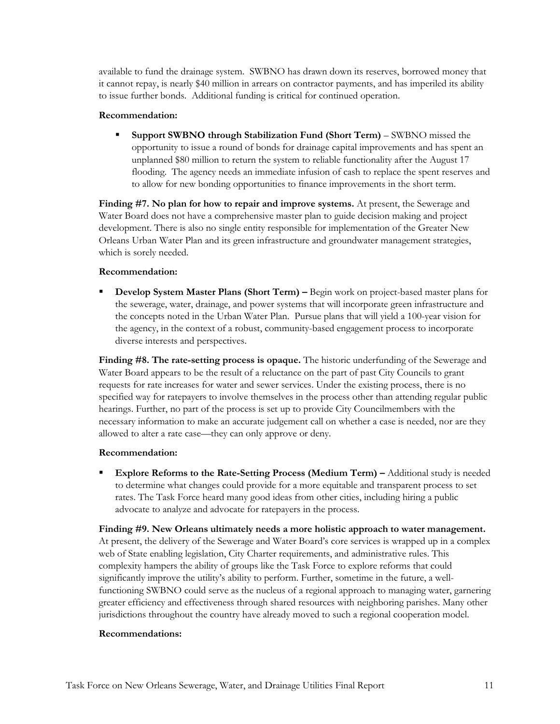available to fund the drainage system. SWBNO has drawn down its reserves, borrowed money that it cannot repay, is nearly \$40 million in arrears on contractor payments, and has imperiled its ability to issue further bonds. Additional funding is critical for continued operation.

#### **Recommendation:**

 **Support SWBNO through Stabilization Fund (Short Term)** – SWBNO missed the opportunity to issue a round of bonds for drainage capital improvements and has spent an unplanned \$80 million to return the system to reliable functionality after the August 17 flooding. The agency needs an immediate infusion of cash to replace the spent reserves and to allow for new bonding opportunities to finance improvements in the short term.

**Finding #7. No plan for how to repair and improve systems.** At present, the Sewerage and Water Board does not have a comprehensive master plan to guide decision making and project development. There is also no single entity responsible for implementation of the Greater New Orleans Urban Water Plan and its green infrastructure and groundwater management strategies, which is sorely needed.

#### **Recommendation:**

 **Develop System Master Plans (Short Term) –** Begin work on project-based master plans for the sewerage, water, drainage, and power systems that will incorporate green infrastructure and the concepts noted in the Urban Water Plan. Pursue plans that will yield a 100-year vision for the agency, in the context of a robust, community-based engagement process to incorporate diverse interests and perspectives.

**Finding #8. The rate-setting process is opaque.** The historic underfunding of the Sewerage and Water Board appears to be the result of a reluctance on the part of past City Councils to grant requests for rate increases for water and sewer services. Under the existing process, there is no specified way for ratepayers to involve themselves in the process other than attending regular public hearings. Further, no part of the process is set up to provide City Councilmembers with the necessary information to make an accurate judgement call on whether a case is needed, nor are they allowed to alter a rate case—they can only approve or deny.

#### **Recommendation:**

 **Explore Reforms to the Rate-Setting Process (Medium Term) –** Additional study is needed to determine what changes could provide for a more equitable and transparent process to set rates. The Task Force heard many good ideas from other cities, including hiring a public advocate to analyze and advocate for ratepayers in the process.

**Finding #9. New Orleans ultimately needs a more holistic approach to water management.**  At present, the delivery of the Sewerage and Water Board's core services is wrapped up in a complex web of State enabling legislation, City Charter requirements, and administrative rules. This complexity hampers the ability of groups like the Task Force to explore reforms that could significantly improve the utility's ability to perform. Further, sometime in the future, a wellfunctioning SWBNO could serve as the nucleus of a regional approach to managing water, garnering greater efficiency and effectiveness through shared resources with neighboring parishes. Many other jurisdictions throughout the country have already moved to such a regional cooperation model.

#### **Recommendations:**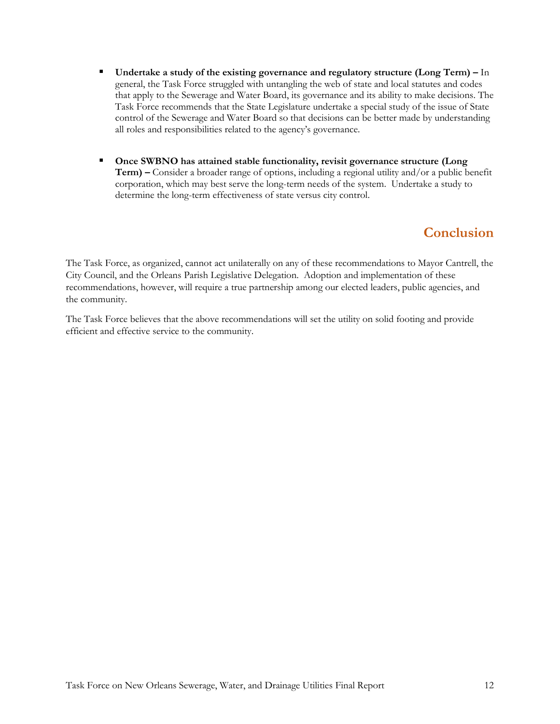- **Undertake a study of the existing governance and regulatory structure (Long Term) –** In general, the Task Force struggled with untangling the web of state and local statutes and codes that apply to the Sewerage and Water Board, its governance and its ability to make decisions. The Task Force recommends that the State Legislature undertake a special study of the issue of State control of the Sewerage and Water Board so that decisions can be better made by understanding all roles and responsibilities related to the agency's governance.
- **Once SWBNO has attained stable functionality, revisit governance structure (Long Term) –** Consider a broader range of options, including a regional utility and/or a public benefit corporation, which may best serve the long-term needs of the system. Undertake a study to determine the long-term effectiveness of state versus city control.

## **Conclusion**

The Task Force, as organized, cannot act unilaterally on any of these recommendations to Mayor Cantrell, the City Council, and the Orleans Parish Legislative Delegation. Adoption and implementation of these recommendations, however, will require a true partnership among our elected leaders, public agencies, and the community.

The Task Force believes that the above recommendations will set the utility on solid footing and provide efficient and effective service to the community.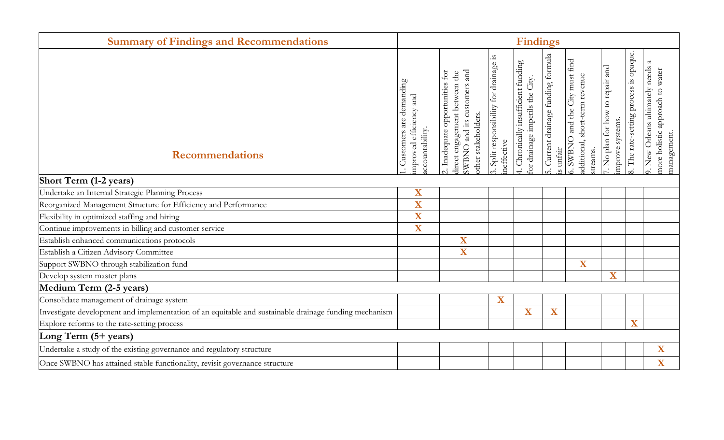| <b>Summary of Findings and Recommendations</b>                                                        |                                                                         | <b>Findings</b>                                                                                                        |                                                       |                                                                        |                                                  |                                                                               |                                                     |                                        |                                                                                        |  |
|-------------------------------------------------------------------------------------------------------|-------------------------------------------------------------------------|------------------------------------------------------------------------------------------------------------------------|-------------------------------------------------------|------------------------------------------------------------------------|--------------------------------------------------|-------------------------------------------------------------------------------|-----------------------------------------------------|----------------------------------------|----------------------------------------------------------------------------------------|--|
| <b>Recommendations</b>                                                                                | Customers are demanding<br>efficiency and<br>iccountability.<br>mproved | SWBNO and its customers and<br>2. Inadequate opportunities for<br>direct engagement between the<br>other stakeholders. | 3. Split responsibility for drainage is<br>neffective | 4. Chronically insufficient funding<br>for drainage imperils the City. | 5. Current drainage funding formula<br>is unfair | 5. SWBNO and the City must find<br>additional, short-term revenue<br>streams. | '. No plan for how to repair and<br>mprove systems. | 8. The rate-setting process is opaque. | 9. New Orleans ultimately needs a<br>water<br>more holistic approach to<br>management. |  |
| <b>Short Term (1-2 years)</b>                                                                         | $\overline{\textbf{X}}$                                                 |                                                                                                                        |                                                       |                                                                        |                                                  |                                                                               |                                                     |                                        |                                                                                        |  |
| Undertake an Internal Strategic Planning Process                                                      |                                                                         |                                                                                                                        |                                                       |                                                                        |                                                  |                                                                               |                                                     |                                        |                                                                                        |  |
| Reorganized Management Structure for Efficiency and Performance                                       |                                                                         |                                                                                                                        |                                                       |                                                                        |                                                  |                                                                               |                                                     |                                        |                                                                                        |  |
| Flexibility in optimized staffing and hiring                                                          |                                                                         |                                                                                                                        |                                                       |                                                                        |                                                  |                                                                               |                                                     |                                        |                                                                                        |  |
| Continue improvements in billing and customer service                                                 |                                                                         |                                                                                                                        |                                                       |                                                                        |                                                  |                                                                               |                                                     |                                        |                                                                                        |  |
| Establish enhanced communications protocols                                                           |                                                                         | X                                                                                                                      |                                                       |                                                                        |                                                  |                                                                               |                                                     |                                        |                                                                                        |  |
| Establish a Citizen Advisory Committee                                                                |                                                                         | X                                                                                                                      |                                                       |                                                                        |                                                  |                                                                               |                                                     |                                        |                                                                                        |  |
| Support SWBNO through stabilization fund                                                              |                                                                         |                                                                                                                        |                                                       |                                                                        |                                                  | $\overline{\mathbf{X}}$                                                       |                                                     |                                        |                                                                                        |  |
| Develop system master plans                                                                           |                                                                         |                                                                                                                        |                                                       |                                                                        |                                                  |                                                                               | $\overline{\mathbf{X}}$                             |                                        |                                                                                        |  |
| Medium Term (2-5 years)                                                                               |                                                                         |                                                                                                                        |                                                       |                                                                        |                                                  |                                                                               |                                                     |                                        |                                                                                        |  |
| Consolidate management of drainage system                                                             |                                                                         |                                                                                                                        | $\overline{\textbf{X}}$                               |                                                                        |                                                  |                                                                               |                                                     |                                        |                                                                                        |  |
| Investigate development and implementation of an equitable and sustainable drainage funding mechanism |                                                                         |                                                                                                                        |                                                       | $\overline{\mathbf{X}}$                                                | X                                                |                                                                               |                                                     |                                        |                                                                                        |  |
| Explore reforms to the rate-setting process                                                           |                                                                         |                                                                                                                        |                                                       |                                                                        |                                                  |                                                                               |                                                     | $\overline{\mathbf{X}}$                |                                                                                        |  |
| Long Term (5+ years)                                                                                  |                                                                         |                                                                                                                        |                                                       |                                                                        |                                                  |                                                                               |                                                     |                                        |                                                                                        |  |
| Undertake a study of the existing governance and regulatory structure                                 |                                                                         |                                                                                                                        |                                                       |                                                                        |                                                  |                                                                               |                                                     |                                        | X                                                                                      |  |
| Once SWBNO has attained stable functionality, revisit governance structure                            |                                                                         |                                                                                                                        |                                                       |                                                                        |                                                  |                                                                               |                                                     |                                        | X                                                                                      |  |